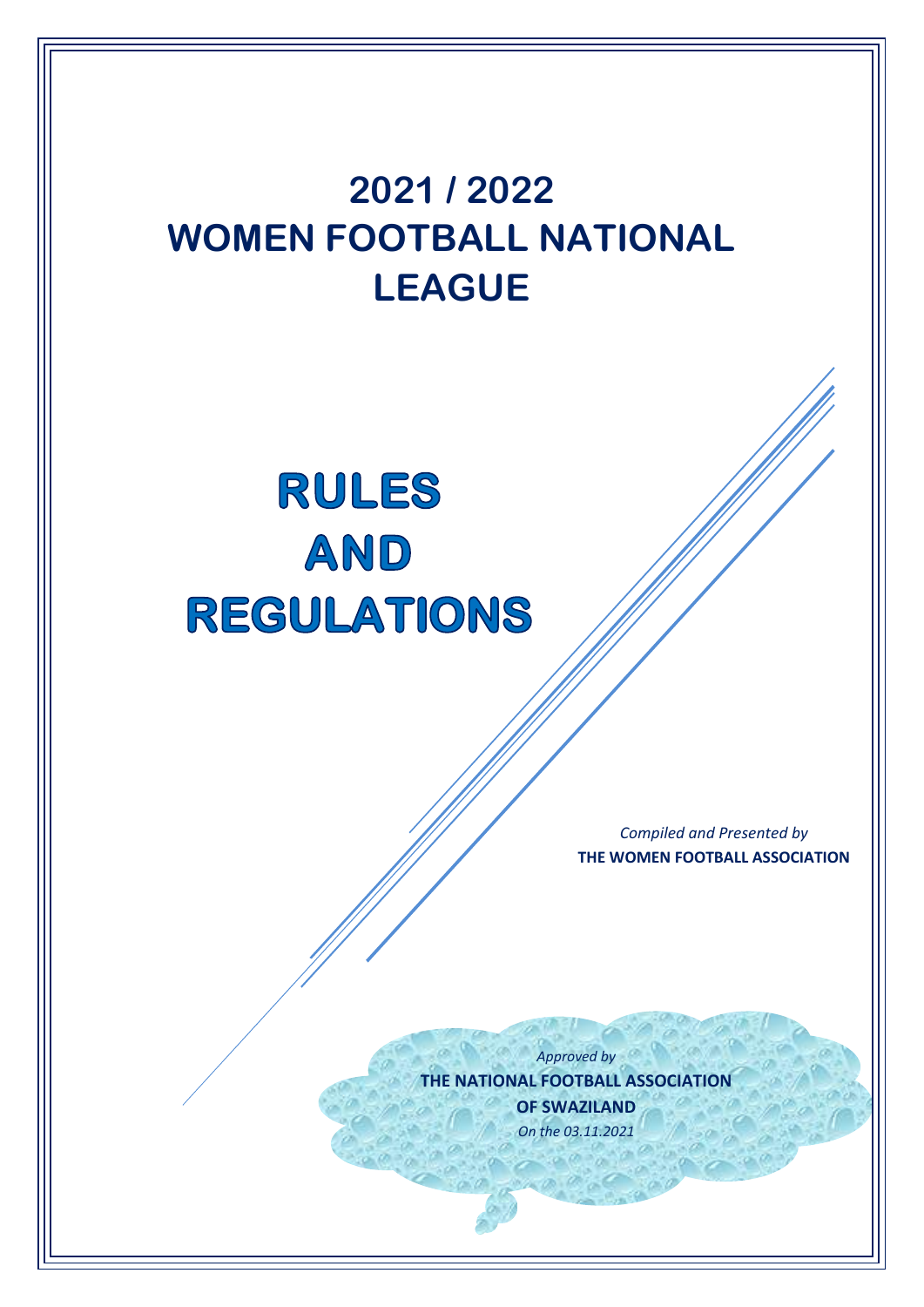# **<sup>2021</sup> / 2022 WOMEN FOOTBALL NATIONAL LEAGUE** RULES AND **REGULATIONS** *Compiled and Presented by* **THE WOMEN FOOTBALL ASSOCIATION** *Approved by* **THE NATIONAL FOOTBALL ASSOCIATION OF SWAZILAND** *On the 03.11.2021*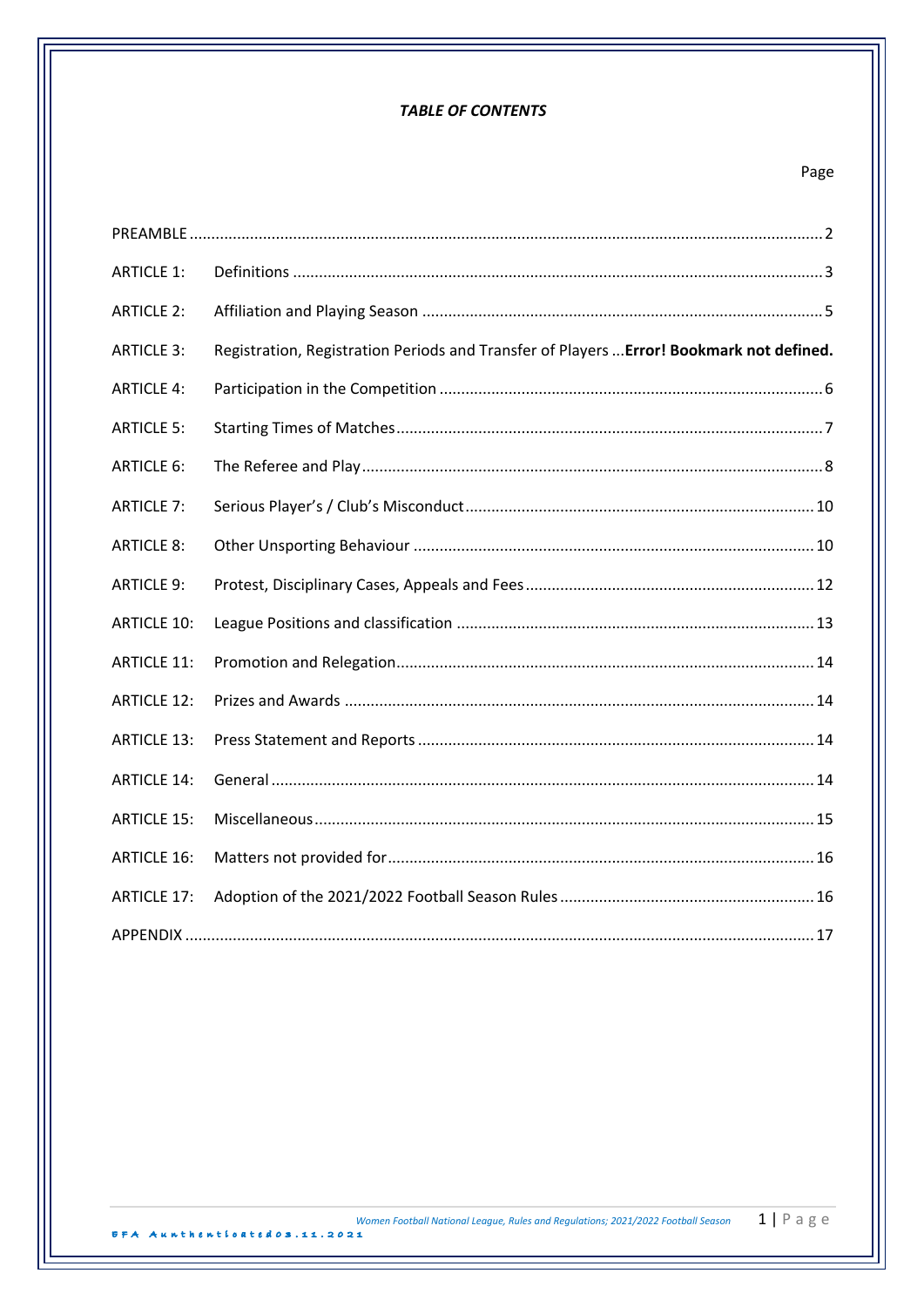# **TABLE OF CONTENTS**

# Page

| <b>ARTICLE 1:</b>  |                                                                                          |
|--------------------|------------------------------------------------------------------------------------------|
| <b>ARTICLE 2:</b>  |                                                                                          |
| <b>ARTICLE 3:</b>  | Registration, Registration Periods and Transfer of Players  Error! Bookmark not defined. |
| <b>ARTICLE 4:</b>  |                                                                                          |
| <b>ARTICLE 5:</b>  |                                                                                          |
| <b>ARTICLE 6:</b>  |                                                                                          |
| <b>ARTICLE 7:</b>  |                                                                                          |
| <b>ARTICLE 8:</b>  |                                                                                          |
| <b>ARTICLE 9:</b>  |                                                                                          |
| <b>ARTICLE 10:</b> |                                                                                          |
| <b>ARTICLE 11:</b> |                                                                                          |
| <b>ARTICLE 12:</b> |                                                                                          |
| <b>ARTICLE 13:</b> |                                                                                          |
| <b>ARTICLE 14:</b> |                                                                                          |
| <b>ARTICLE 15:</b> |                                                                                          |
| <b>ARTICLE 16:</b> |                                                                                          |
| <b>ARTICLE 17:</b> |                                                                                          |
|                    |                                                                                          |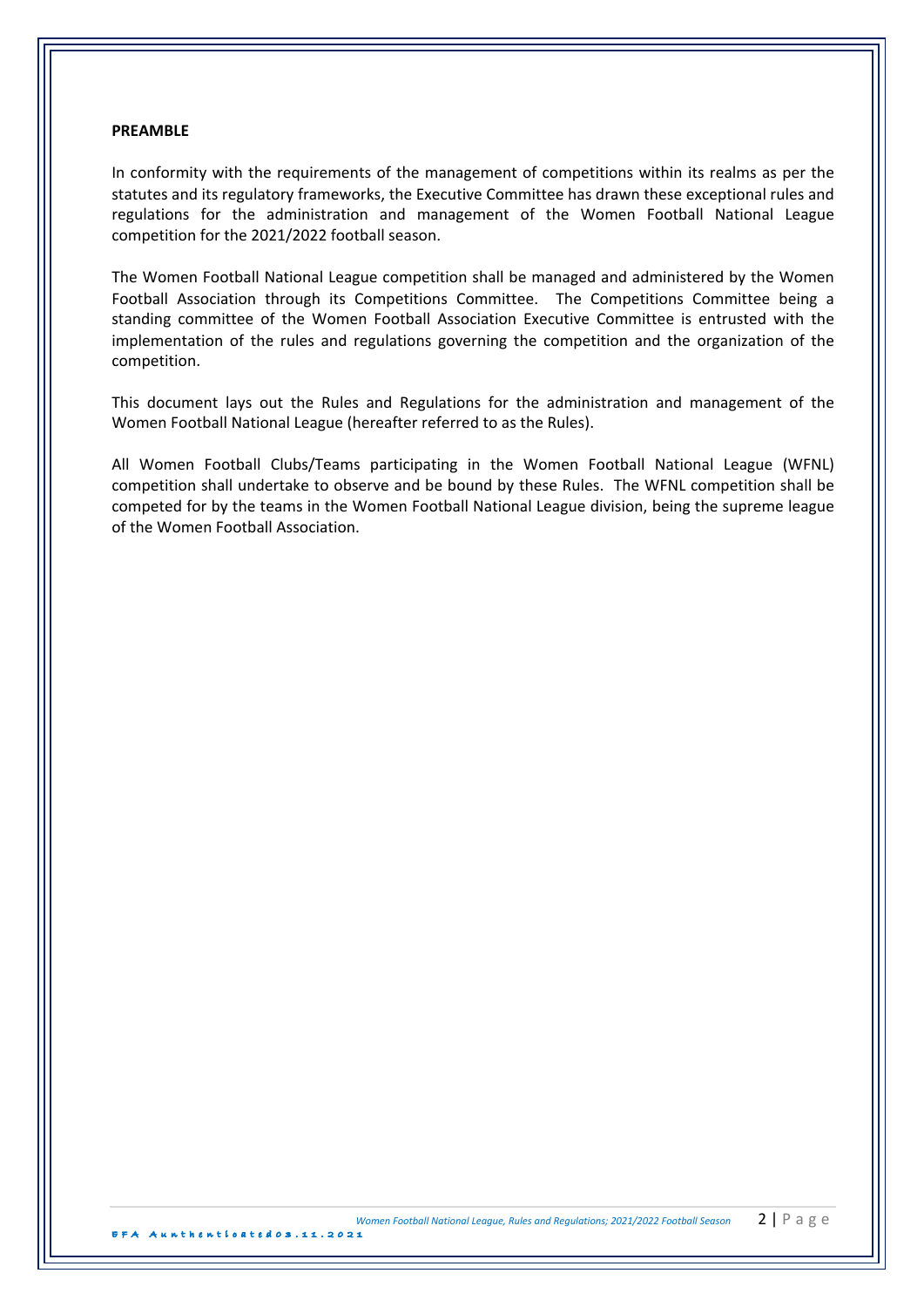### **PREAMBLE**

In conformity with the requirements of the management of competitions within its realms as per the statutes and its regulatory frameworks, the Executive Committee has drawn these exceptional rules and regulations for the administration and management of the Women Football National League competition for the 2021/2022 football season.

The Women Football National League competition shall be managed and administered by the Women Football Association through its Competitions Committee. The Competitions Committee being a standing committee of the Women Football Association Executive Committee is entrusted with the implementation of the rules and regulations governing the competition and the organization of the competition.

This document lays out the Rules and Regulations for the administration and management of the Women Football National League (hereafter referred to as the Rules).

All Women Football Clubs/Teams participating in the Women Football National League (WFNL) competition shall undertake to observe and be bound by these Rules. The WFNL competition shall be competed for by the teams in the Women Football National League division, being the supreme league of the Women Football Association.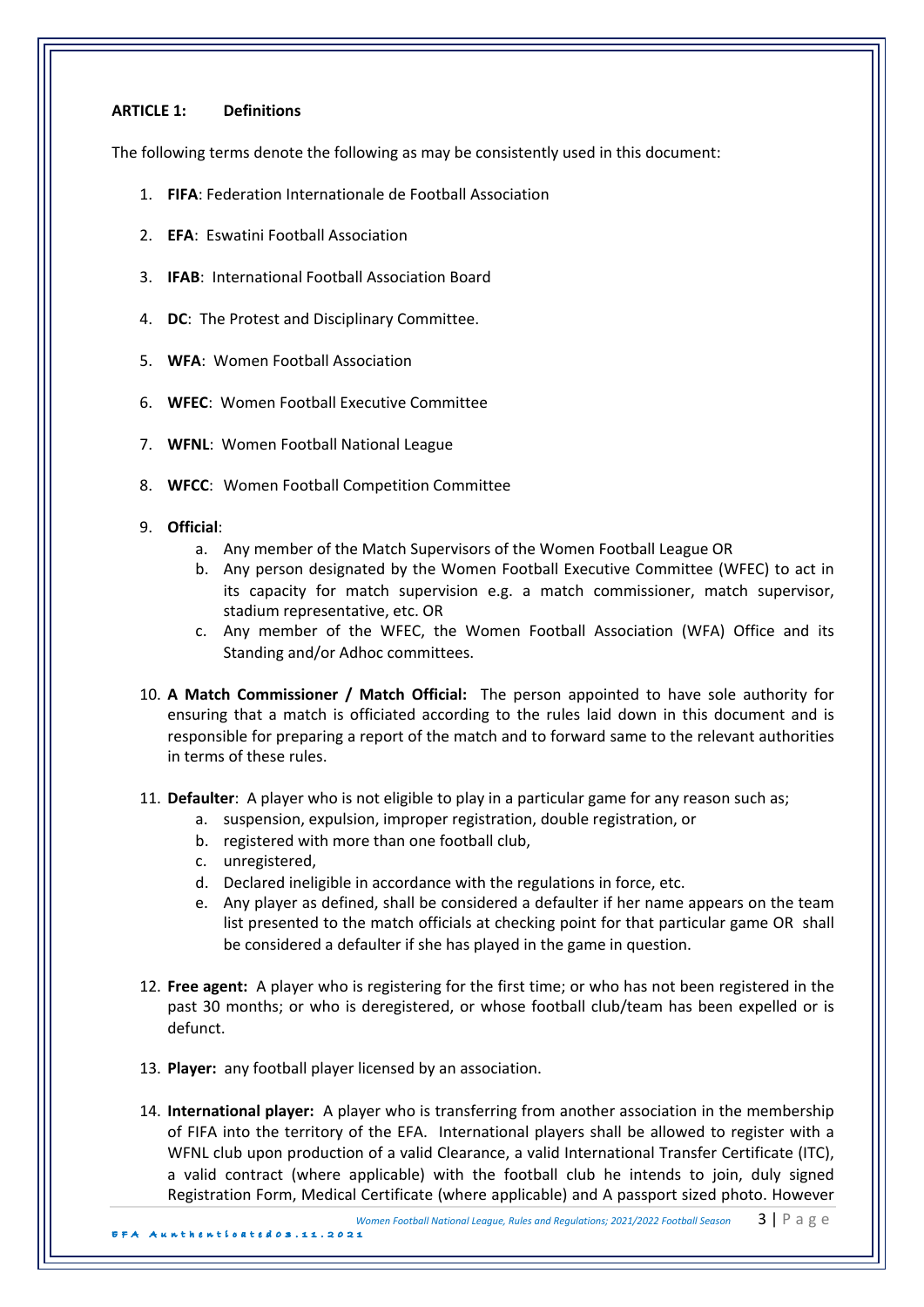# **ARTICLE 1: Definitions**

The following terms denote the following as may be consistently used in this document:

- 1. **FIFA:** Federation Internationale de Football Association
- 2. **EFA:** Eswatini Football Association
- 3. **IFAB:** International Football Association Board
- 4. **DC:** The Protest and Disciplinary Committee.
- 5. **WFA: Women Football Association**
- 6. **WFEC**: Women Football Executive Committee
- 7. WFNL: Women Football National League
- 8. WFCC: Women Football Competition Committee
- 9. **Official**:
	- a. Any member of the Match Supervisors of the Women Football League OR
	- b. Any person designated by the Women Football Executive Committee (WFEC) to act in its capacity for match supervision e.g. a match commissioner, match supervisor, stadium representative, etc. OR
	- c. Any member of the WFEC, the Women Football Association (WFA) Office and its Standing and/or Adhoc committees.
- 10. A Match Commissioner / Match Official: The person appointed to have sole authority for ensuring that a match is officiated according to the rules laid down in this document and is responsible for preparing a report of the match and to forward same to the relevant authorities in terms of these rules.
- 11. **Defaulter**: A player who is not eligible to play in a particular game for any reason such as;
	- a. suspension, expulsion, improper registration, double registration, or
	- b. registered with more than one football club,
	- c. unregistered,
	- d. Declared ineligible in accordance with the regulations in force, etc.
	- e. Any player as defined, shall be considered a defaulter if her name appears on the team list presented to the match officials at checking point for that particular game OR shall be considered a defaulter if she has played in the game in question.
- 12. **Free agent:** A player who is registering for the first time; or who has not been registered in the past 30 months; or who is deregistered, or whose football club/team has been expelled or is defunct.
- 13. Player: any football player licensed by an association.
- 14. International player: A player who is transferring from another association in the membership of FIFA into the territory of the EFA. International players shall be allowed to register with a WFNL club upon production of a valid Clearance, a valid International Transfer Certificate (ITC), a valid contract (where applicable) with the football club he intends to join, duly signed Registration Form, Medical Certificate (where applicable) and A passport sized photo. However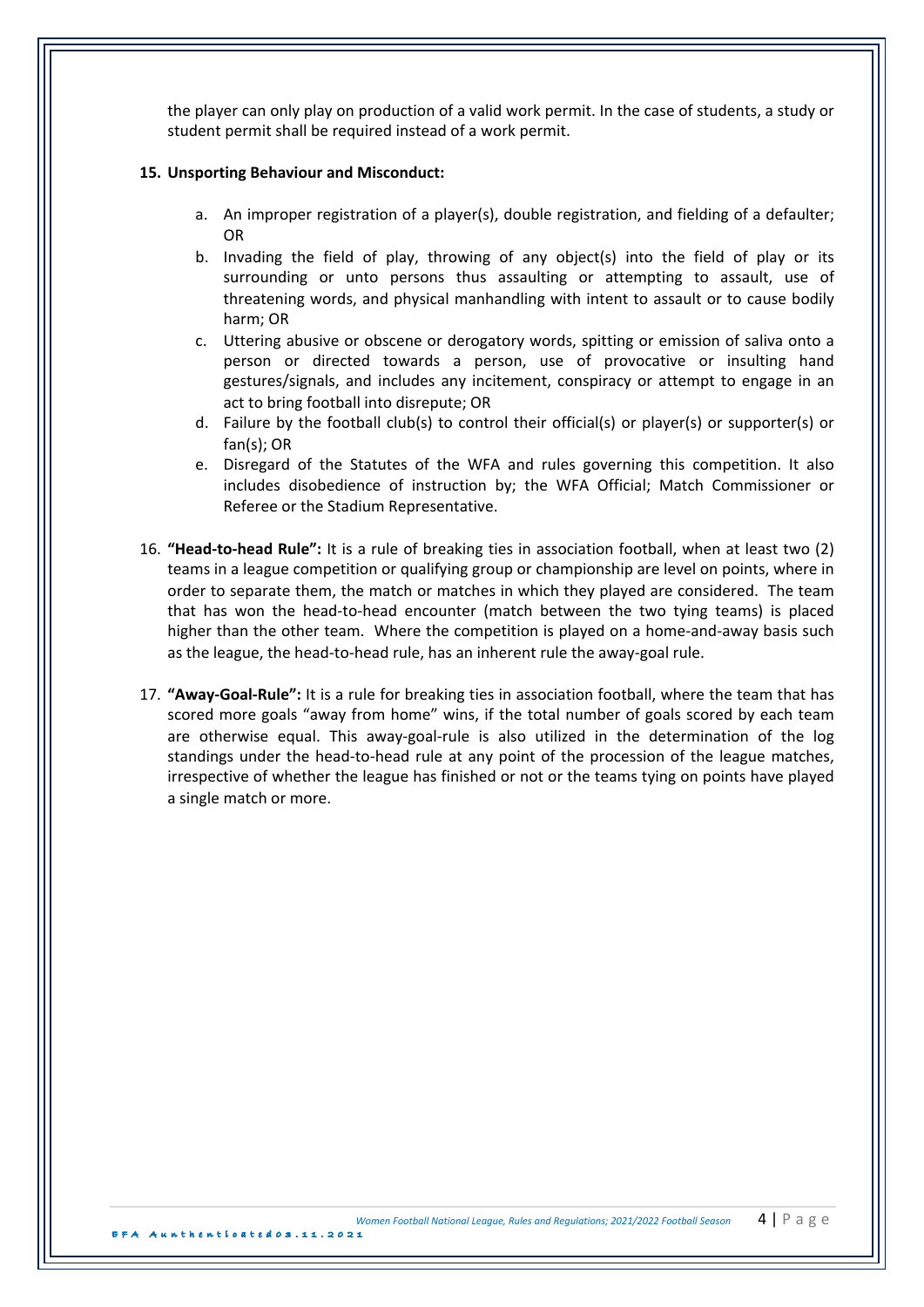the player can only play on production of a valid work permit. In the case of students, a study or student permit shall be required instead of a work permit.

### 15. Unsporting Behaviour and Misconduct:

- a. An improper registration of a player(s), double registration, and fielding of a defaulter; OR
- b. Invading the field of play, throwing of any object(s) into the field of play or its surrounding or unto persons thus assaulting or attempting to assault, use of threatening words, and physical manhandling with intent to assault or to cause bodily harm; OR
- c. Uttering abusive or obscene or derogatory words, spitting or emission of saliva onto a person or directed towards a person, use of provocative or insulting hand gestures/signals, and includes any incitement, conspiracy or attempt to engage in an act to bring football into disrepute; OR
- d. Failure by the football  $\text{club}(s)$  to control their official(s) or player(s) or supporter(s) or  $fan(s)$ ; OR
- e. Disregard of the Statutes of the WFA and rules governing this competition. It also includes disobedience of instruction by; the WFA Official; Match Commissioner or Referee or the Stadium Representative.
- 16. **"Head-to-head Rule":** It is a rule of breaking ties in association football, when at least two (2) teams in a league competition or qualifying group or championship are level on points, where in order to separate them, the match or matches in which they played are considered. The team that has won the head-to-head encounter (match between the two tying teams) is placed higher than the other team. Where the competition is played on a home-and-away basis such as the league, the head-to-head rule, has an inherent rule the away-goal rule.
- 17. **"Away-Goal-Rule":** It is a rule for breaking ties in association football, where the team that has scored more goals "away from home" wins, if the total number of goals scored by each team are otherwise equal. This away-goal-rule is also utilized in the determination of the log standings under the head-to-head rule at any point of the procession of the league matches, irrespective of whether the league has finished or not or the teams tying on points have played a single match or more.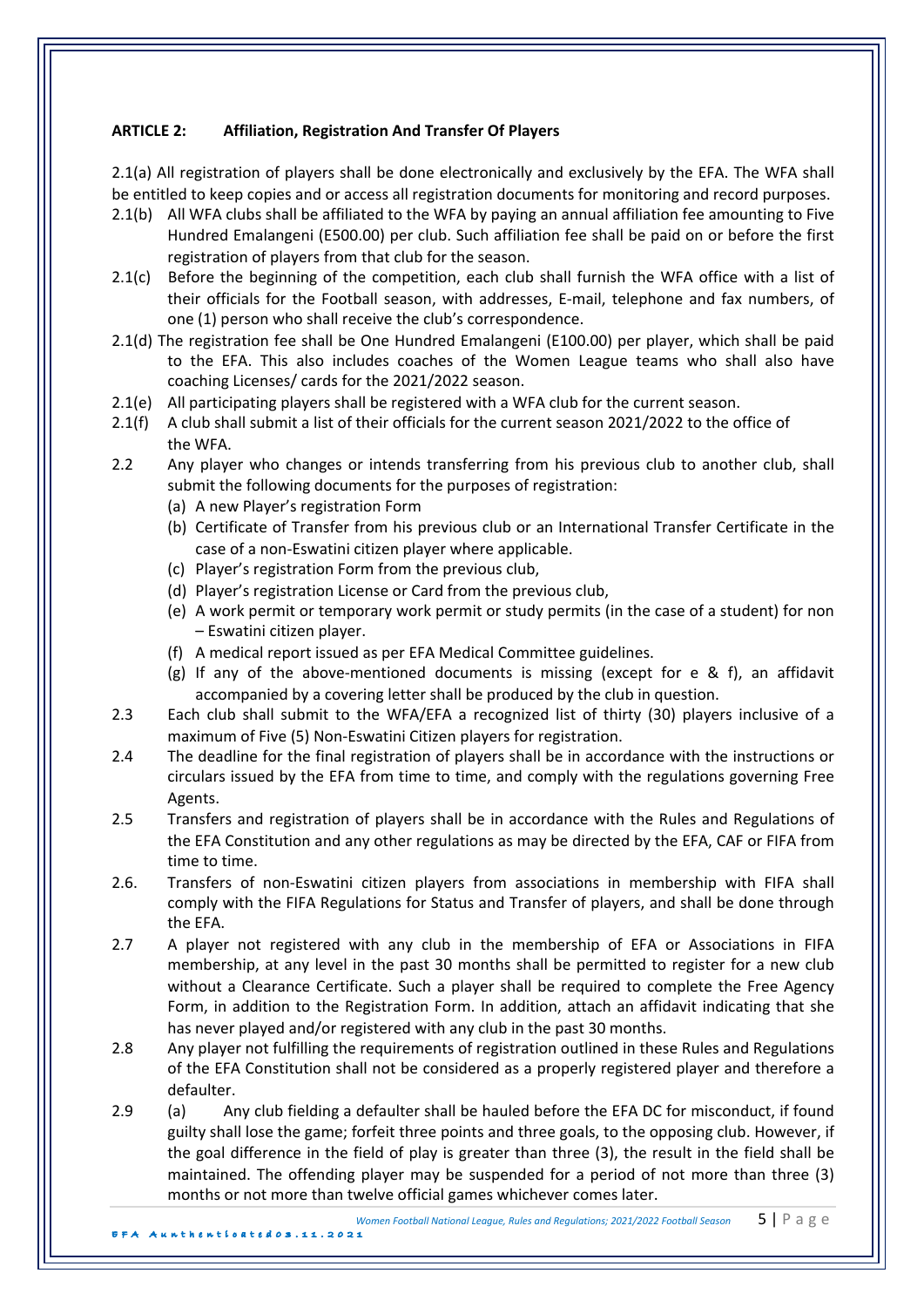# **ARTICLE 2:** Affiliation, Registration And Transfer Of Players

2.1(a) All registration of players shall be done electronically and exclusively by the EFA. The WFA shall be entitled to keep copies and or access all registration documents for monitoring and record purposes.

- 2.1(b) All WFA clubs shall be affiliated to the WFA by paying an annual affiliation fee amounting to Five Hundred Emalangeni (E500.00) per club. Such affiliation fee shall be paid on or before the first registration of players from that club for the season.
- 2.1(c) Before the beginning of the competition, each club shall furnish the WFA office with a list of their officials for the Football season, with addresses, E-mail, telephone and fax numbers, of one (1) person who shall receive the club's correspondence.
- 2.1(d) The registration fee shall be One Hundred Emalangeni (E100.00) per player, which shall be paid to the EFA. This also includes coaches of the Women League teams who shall also have coaching Licenses/ cards for the 2021/2022 season.
- 2.1(e) All participating players shall be registered with a WFA club for the current season.
- 2.1(f) A club shall submit a list of their officials for the current season 2021/2022 to the office of the WFA.
- 2.2 Any player who changes or intends transferring from his previous club to another club, shall submit the following documents for the purposes of registration:
	- (a) A new Player's registration Form
	- (b) Certificate of Transfer from his previous club or an International Transfer Certificate in the case of a non-Eswatini citizen player where applicable.
	- (c) Player's registration Form from the previous club,
	- (d) Player's registration License or Card from the previous club,
	- (e) A work permit or temporary work permit or study permits (in the case of a student) for non – Eswatini citizen player.
	- (f) A medical report issued as per EFA Medical Committee guidelines.
	- (g) If any of the above-mentioned documents is missing (except for e & f), an affidavit accompanied by a covering letter shall be produced by the club in question.
- 2.3 Each club shall submit to the WFA/EFA a recognized list of thirty (30) players inclusive of a maximum of Five (5) Non-Eswatini Citizen players for registration.
- 2.4 The deadline for the final registration of players shall be in accordance with the instructions or circulars issued by the EFA from time to time, and comply with the regulations governing Free Agents.
- 2.5 Transfers and registration of players shall be in accordance with the Rules and Regulations of the EFA Constitution and any other regulations as may be directed by the EFA, CAF or FIFA from time to time.
- 2.6. Transfers of non-Eswatini citizen players from associations in membership with FIFA shall comply with the FIFA Regulations for Status and Transfer of players, and shall be done through the EFA.
- 2.7 A player not registered with any club in the membership of EFA or Associations in FIFA membership, at any level in the past 30 months shall be permitted to register for a new club without a Clearance Certificate. Such a player shall be required to complete the Free Agency Form, in addition to the Registration Form. In addition, attach an affidavit indicating that she has never played and/or registered with any club in the past 30 months.
- 2.8 Any player not fulfilling the requirements of registration outlined in these Rules and Regulations of the EFA Constitution shall not be considered as a properly registered player and therefore a defaulter.
- 2.9 (a) Any club fielding a defaulter shall be hauled before the EFA DC for misconduct, if found guilty shall lose the game; forfeit three points and three goals, to the opposing club. However, if the goal difference in the field of play is greater than three  $(3)$ , the result in the field shall be maintained. The offending player may be suspended for a period of not more than three (3) months or not more than twelve official games whichever comes later.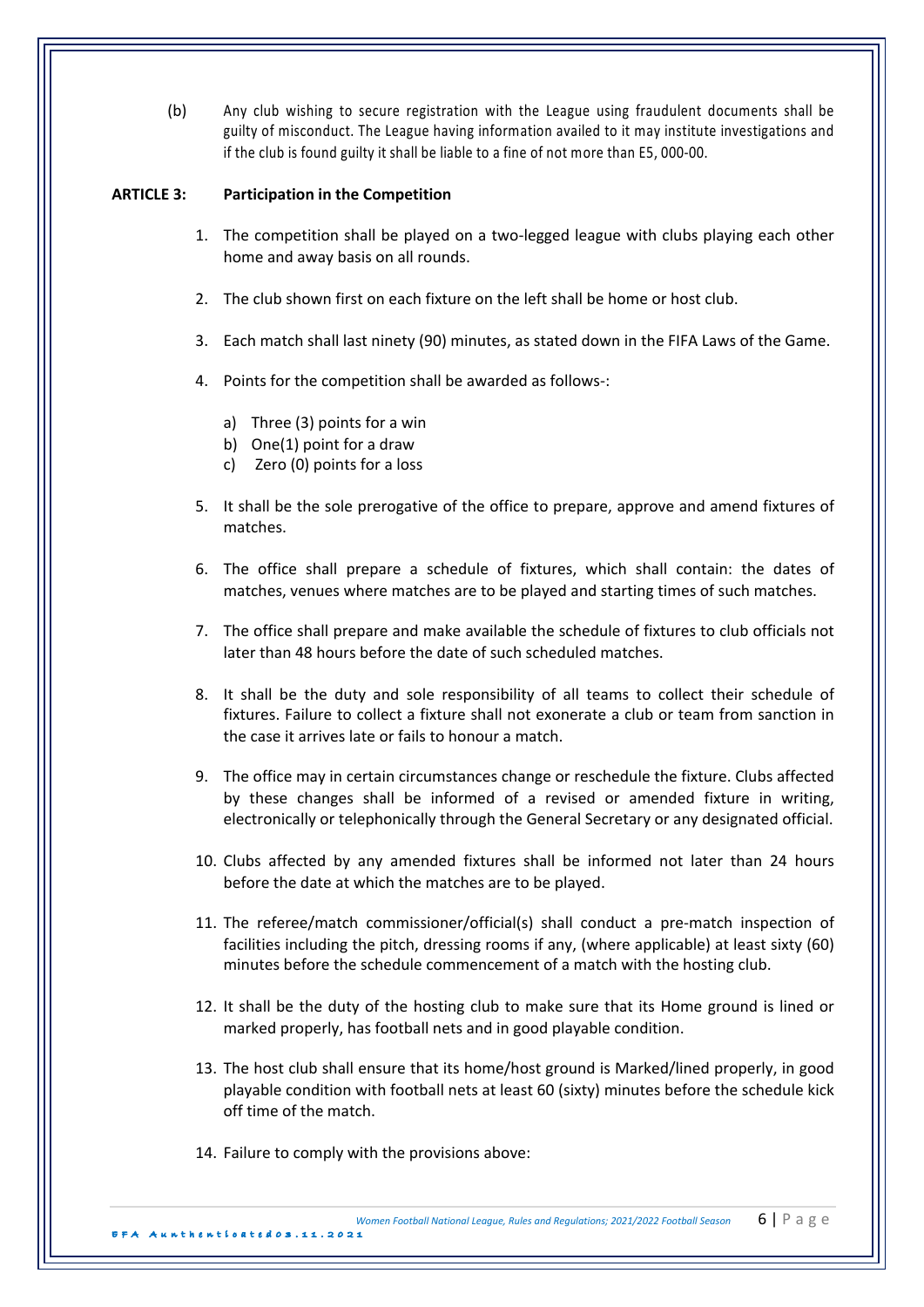(b) Any club wishing to secure registration with the League using fraudulent documents shall be guilty of misconduct. The League having information availed to it may institute investigations and if the club is found guilty it shall be liable to a fine of not more than E5, 000-00.

## **ARTICLE 3:** Participation in the Competition

- 1. The competition shall be played on a two-legged league with clubs playing each other home and away basis on all rounds.
- 2. The club shown first on each fixture on the left shall be home or host club.
- 3. Each match shall last ninety (90) minutes, as stated down in the FIFA Laws of the Game.
- 4. Points for the competition shall be awarded as follows-:
	- a) Three  $(3)$  points for a win
	- b) One $(1)$  point for a draw
	- c) Zero  $(0)$  points for a loss
- 5. It shall be the sole prerogative of the office to prepare, approve and amend fixtures of matches.
- 6. The office shall prepare a schedule of fixtures, which shall contain: the dates of matches, venues where matches are to be played and starting times of such matches.
- 7. The office shall prepare and make available the schedule of fixtures to club officials not later than 48 hours before the date of such scheduled matches.
- 8. It shall be the duty and sole responsibility of all teams to collect their schedule of fixtures. Failure to collect a fixture shall not exonerate a club or team from sanction in the case it arrives late or fails to honour a match.
- 9. The office may in certain circumstances change or reschedule the fixture. Clubs affected by these changes shall be informed of a revised or amended fixture in writing, electronically or telephonically through the General Secretary or any designated official.
- 10. Clubs affected by any amended fixtures shall be informed not later than 24 hours before the date at which the matches are to be played.
- 11. The referee/match commissioner/official(s) shall conduct a pre-match inspection of facilities including the pitch, dressing rooms if any, (where applicable) at least sixty (60) minutes before the schedule commencement of a match with the hosting club.
- 12. It shall be the duty of the hosting club to make sure that its Home ground is lined or marked properly, has football nets and in good playable condition.
- 13. The host club shall ensure that its home/host ground is Marked/lined properly, in good playable condition with football nets at least 60 (sixty) minutes before the schedule kick off time of the match.
- 14. Failure to comply with the provisions above: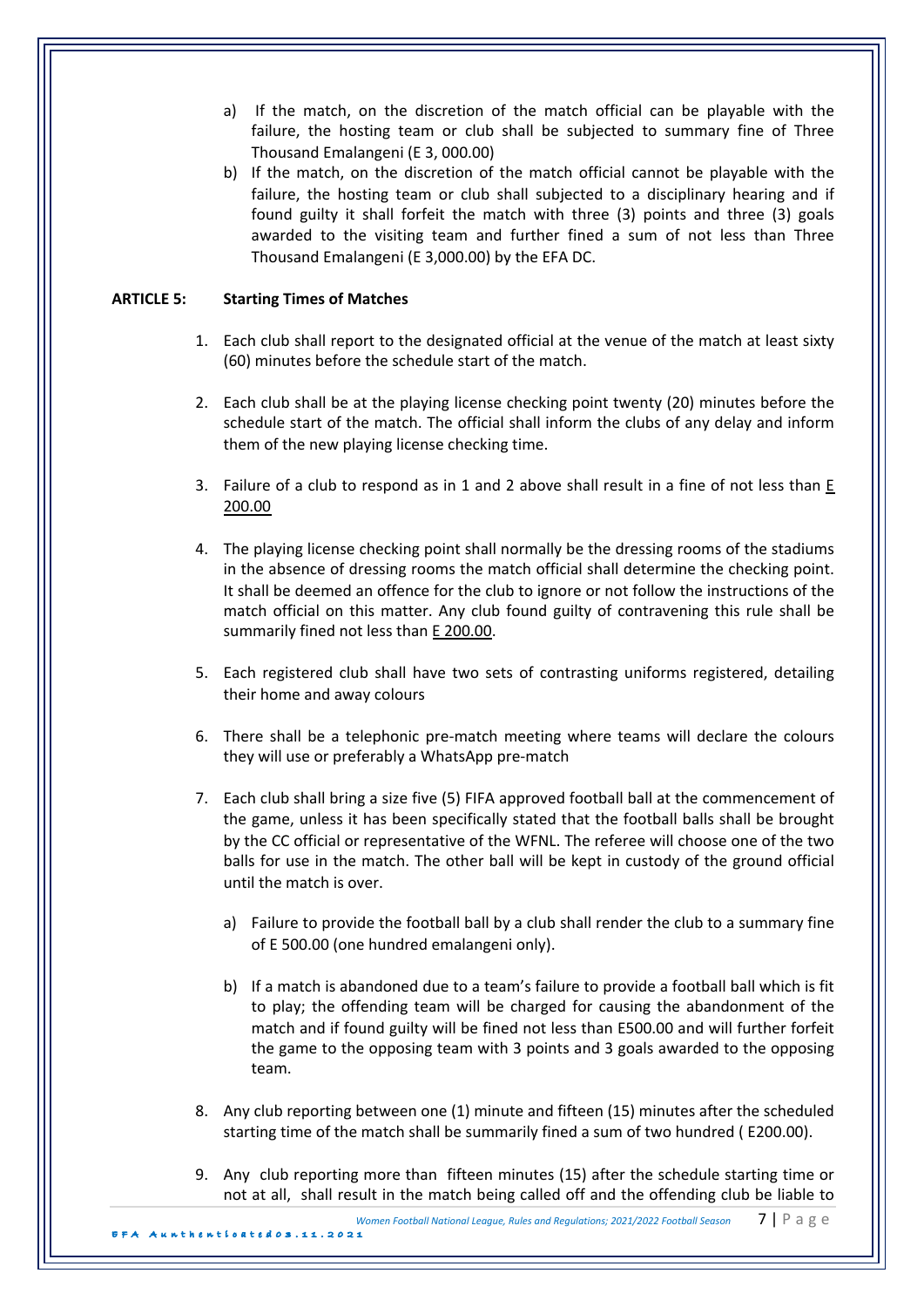- a) If the match, on the discretion of the match official can be playable with the failure, the hosting team or club shall be subjected to summary fine of Three Thousand Emalangeni (E 3, 000.00)
- b) If the match, on the discretion of the match official cannot be playable with the failure, the hosting team or club shall subjected to a disciplinary hearing and if found guilty it shall forfeit the match with three (3) points and three (3) goals awarded to the visiting team and further fined a sum of not less than Three Thousand Emalangeni (E 3,000.00) by the EFA DC.

# **ARTICLE 5: Starting Times of Matches**

- 1. Each club shall report to the designated official at the venue of the match at least sixty (60) minutes before the schedule start of the match.
- 2. Each club shall be at the playing license checking point twenty (20) minutes before the schedule start of the match. The official shall inform the clubs of any delay and inform them of the new playing license checking time.
- 3. Failure of a club to respond as in 1 and 2 above shall result in a fine of not less than  $E$ 200.00
- 4. The playing license checking point shall normally be the dressing rooms of the stadiums in the absence of dressing rooms the match official shall determine the checking point. It shall be deemed an offence for the club to ignore or not follow the instructions of the match official on this matter. Any club found guilty of contravening this rule shall be summarily fined not less than E 200.00.
- 5. Each registered club shall have two sets of contrasting uniforms registered, detailing their home and away colours
- 6. There shall be a telephonic pre-match meeting where teams will declare the colours they will use or preferably a WhatsApp pre-match
- 7. Each club shall bring a size five (5) FIFA approved football ball at the commencement of the game, unless it has been specifically stated that the football balls shall be brought by the CC official or representative of the WFNL. The referee will choose one of the two balls for use in the match. The other ball will be kept in custody of the ground official until the match is over.
	- a) Failure to provide the football ball by a club shall render the club to a summary fine of E 500.00 (one hundred emalangeni only).
	- b) If a match is abandoned due to a team's failure to provide a football ball which is fit to play; the offending team will be charged for causing the abandonment of the match and if found guilty will be fined not less than E500.00 and will further forfeit the game to the opposing team with 3 points and 3 goals awarded to the opposing team.
- 8. Any club reporting between one (1) minute and fifteen (15) minutes after the scheduled starting time of the match shall be summarily fined a sum of two hundred (E200.00).
- 9. Any club reporting more than fifteen minutes (15) after the schedule starting time or not at all, shall result in the match being called off and the offending club be liable to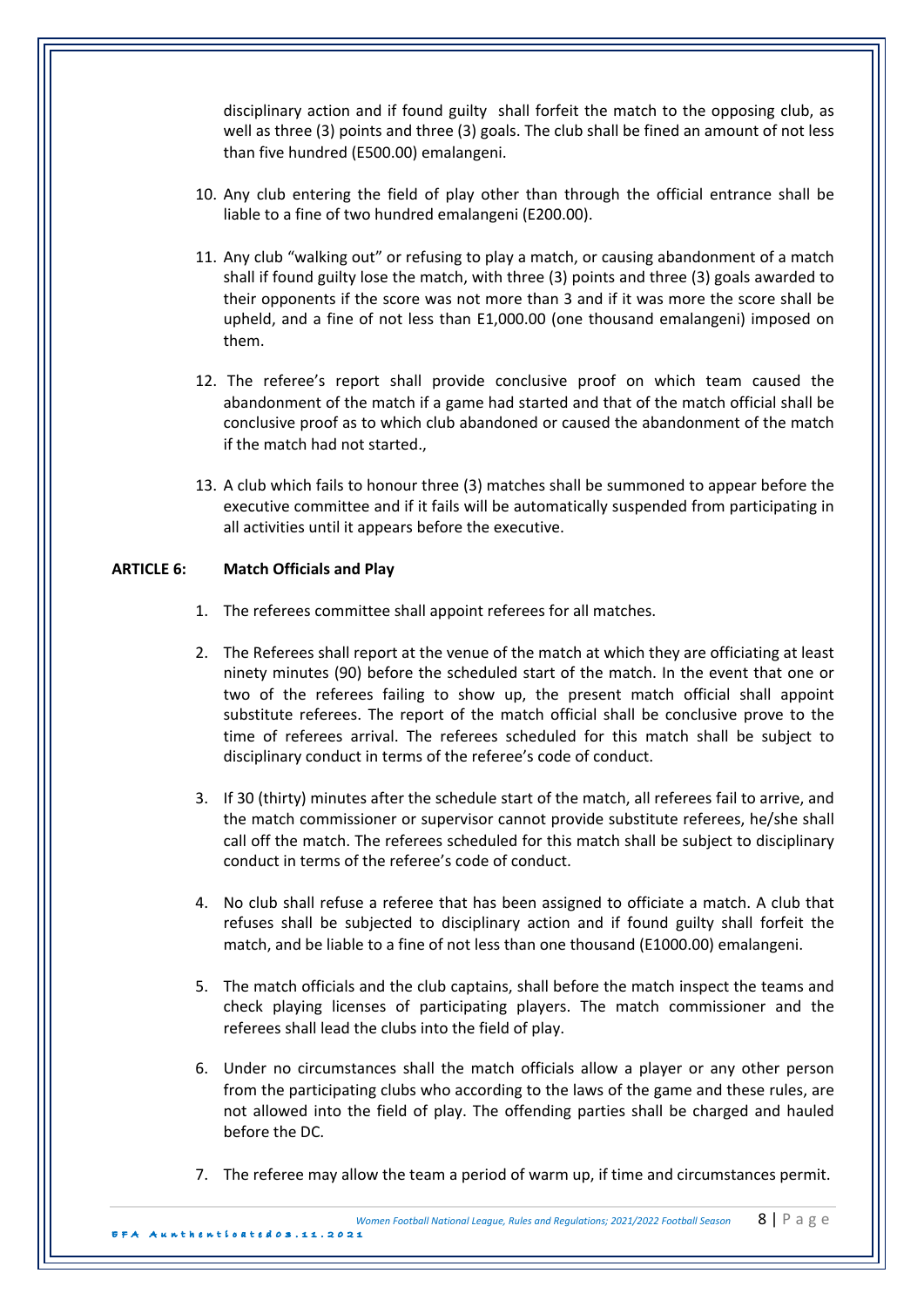disciplinary action and if found guilty shall forfeit the match to the opposing club, as well as three (3) points and three (3) goals. The club shall be fined an amount of not less than five hundred (E500.00) emalangeni.

- 10. Any club entering the field of play other than through the official entrance shall be liable to a fine of two hundred emalangeni (E200.00).
- 11. Any club "walking out" or refusing to play a match, or causing abandonment of a match shall if found guilty lose the match, with three  $(3)$  points and three  $(3)$  goals awarded to their opponents if the score was not more than 3 and if it was more the score shall be upheld, and a fine of not less than E1,000.00 (one thousand emalangeni) imposed on them.
- 12. The referee's report shall provide conclusive proof on which team caused the abandonment of the match if a game had started and that of the match official shall be conclusive proof as to which club abandoned or caused the abandonment of the match if the match had not started.,
- 13. A club which fails to honour three (3) matches shall be summoned to appear before the executive committee and if it fails will be automatically suspended from participating in all activities until it appears before the executive.

# **ARTICLE 6: Match Officials and Play**

- 1. The referees committee shall appoint referees for all matches.
- 2. The Referees shall report at the venue of the match at which they are officiating at least ninety minutes (90) before the scheduled start of the match. In the event that one or two of the referees failing to show up, the present match official shall appoint substitute referees. The report of the match official shall be conclusive prove to the time of referees arrival. The referees scheduled for this match shall be subject to disciplinary conduct in terms of the referee's code of conduct.
- 3. If 30 (thirty) minutes after the schedule start of the match, all referees fail to arrive, and the match commissioner or supervisor cannot provide substitute referees, he/she shall call off the match. The referees scheduled for this match shall be subject to disciplinary conduct in terms of the referee's code of conduct.
- 4. No club shall refuse a referee that has been assigned to officiate a match. A club that refuses shall be subjected to disciplinary action and if found guilty shall forfeit the match, and be liable to a fine of not less than one thousand (E1000.00) emalangeni.
- 5. The match officials and the club captains, shall before the match inspect the teams and check playing licenses of participating players. The match commissioner and the referees shall lead the clubs into the field of play.
- 6. Under no circumstances shall the match officials allow a player or any other person from the participating clubs who according to the laws of the game and these rules, are not allowed into the field of play. The offending parties shall be charged and hauled before the DC.
- 7. The referee may allow the team a period of warm up, if time and circumstances permit.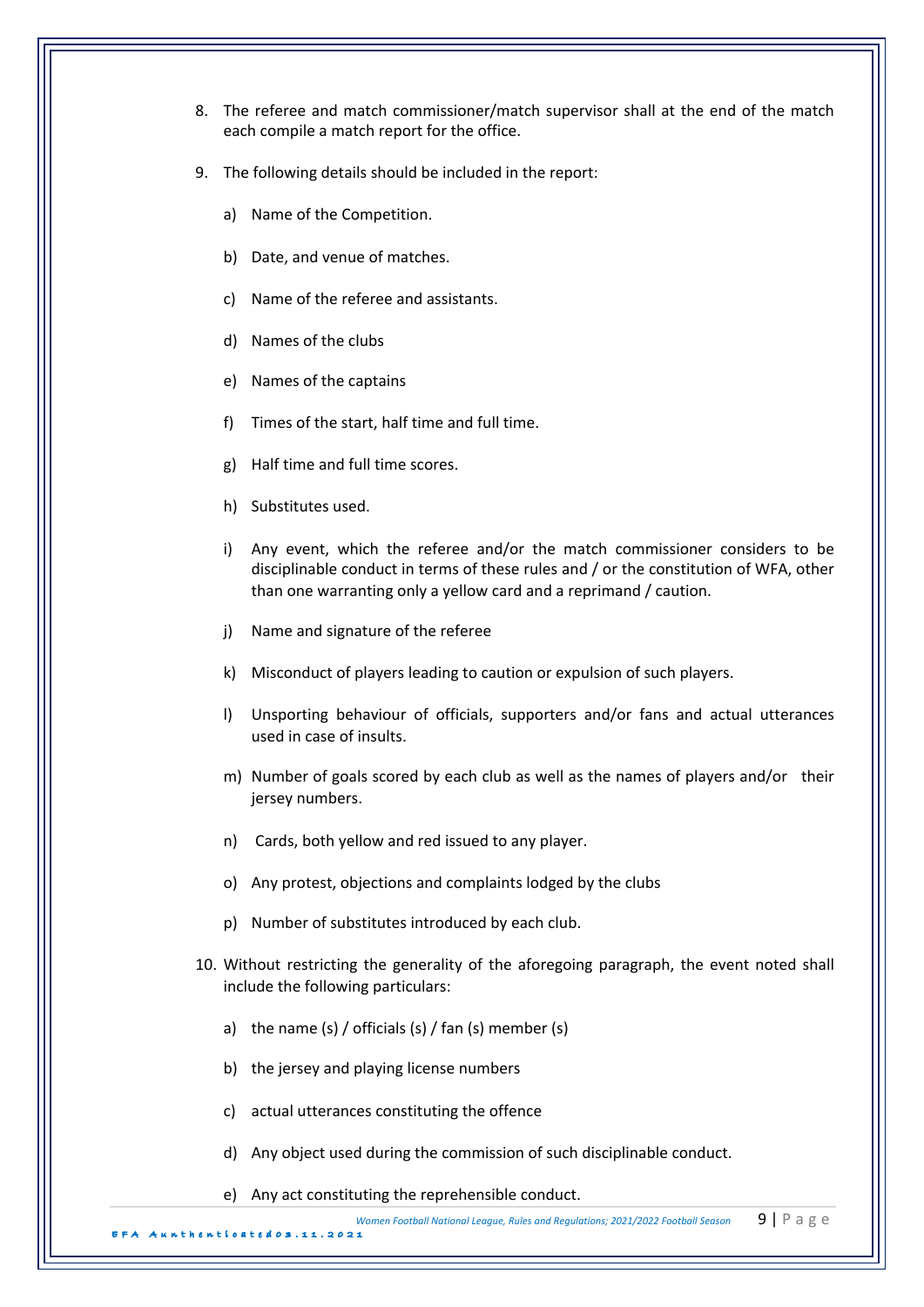- 8. The referee and match commissioner/match supervisor shall at the end of the match each compile a match report for the office.
- 9. The following details should be included in the report:
	- a) Name of the Competition.
	- b) Date, and venue of matches.
	- c) Name of the referee and assistants.
	- d) Names of the clubs
	- e) Names of the captains
	- f) Times of the start, half time and full time.
	- g) Half time and full time scores.
	- h) Substitutes used.
	- i) Any event, which the referee and/or the match commissioner considers to be disciplinable conduct in terms of these rules and / or the constitution of WFA, other than one warranting only a yellow card and a reprimand / caution.
	- j) Name and signature of the referee
	- k) Misconduct of players leading to caution or expulsion of such players.
	- l) Unsporting behaviour of officials, supporters and/or fans and actual utterances used in case of insults.
	- m) Number of goals scored by each club as well as the names of players and/or their jersey numbers.
	- n) Cards, both yellow and red issued to any player.
	- o) Any protest, objections and complaints lodged by the clubs
	- p) Number of substitutes introduced by each club.
- 10. Without restricting the generality of the aforegoing paragraph, the event noted shall include the following particulars:
	- a) the name  $(s)$  / officials  $(s)$  / fan  $(s)$  member  $(s)$
	- b) the jersey and playing license numbers

 $.2021$ 

- c) actual utterances constituting the offence
- d) Any object used during the commission of such disciplinable conduct.
- e) Any act constituting the reprehensible conduct.

*Women Football National League, Rules and Regulations: 2021/2022 Football Season* 9 | P a g e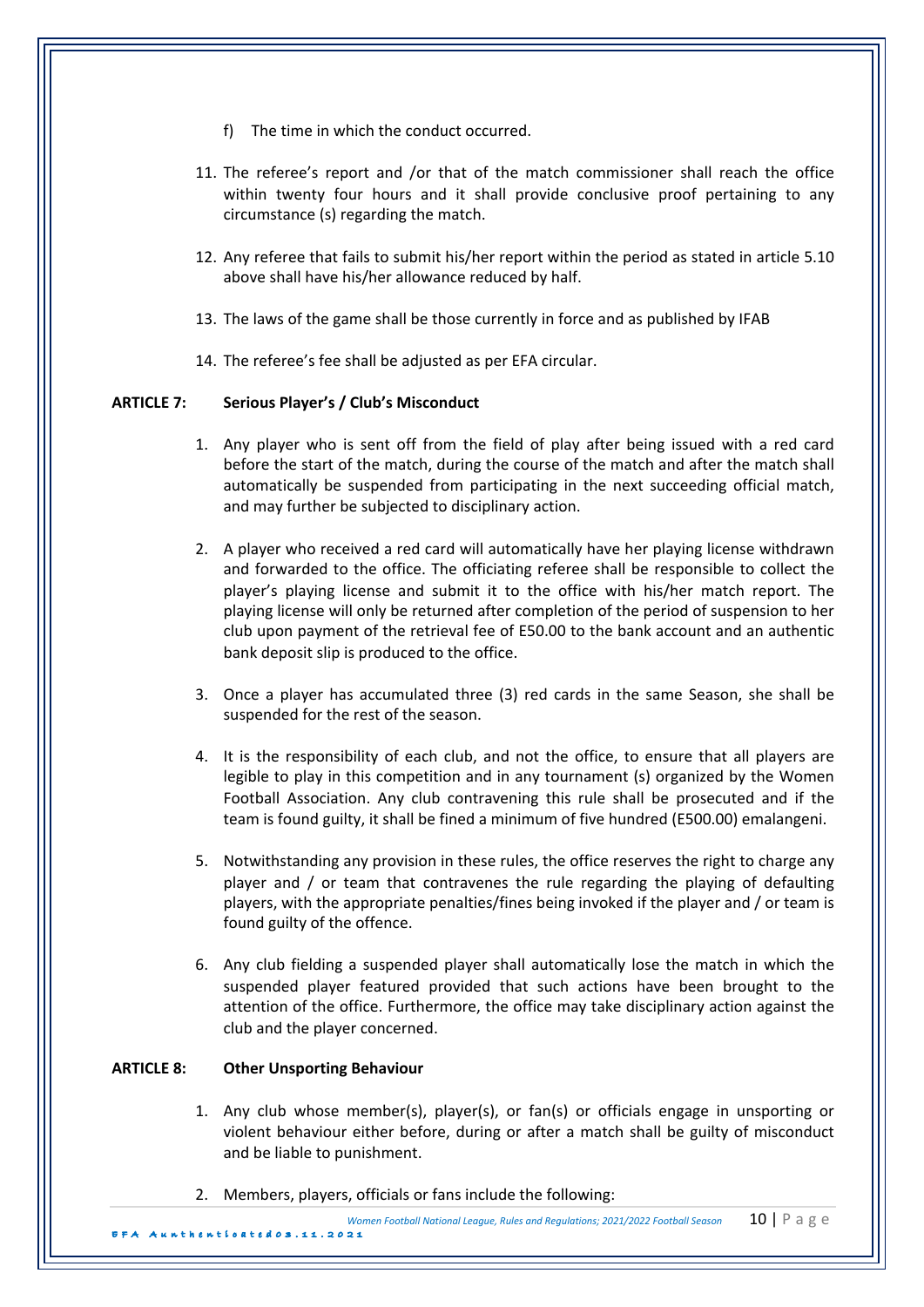- f) The time in which the conduct occurred.
- 11. The referee's report and /or that of the match commissioner shall reach the office within twenty four hours and it shall provide conclusive proof pertaining to any circumstance (s) regarding the match.
- 12. Any referee that fails to submit his/her report within the period as stated in article 5.10 above shall have his/her allowance reduced by half.
- 13. The laws of the game shall be those currently in force and as published by IFAB
- 14. The referee's fee shall be adjusted as per EFA circular.

### **ARTICLE 7: Serious Player's / Club's Misconduct**

- 1. Any player who is sent off from the field of play after being issued with a red card before the start of the match, during the course of the match and after the match shall automatically be suspended from participating in the next succeeding official match, and may further be subjected to disciplinary action.
- 2. A player who received a red card will automatically have her playing license withdrawn and forwarded to the office. The officiating referee shall be responsible to collect the player's playing license and submit it to the office with his/her match report. The playing license will only be returned after completion of the period of suspension to her club upon payment of the retrieval fee of E50.00 to the bank account and an authentic bank deposit slip is produced to the office.
- 3. Once a player has accumulated three (3) red cards in the same Season, she shall be suspended for the rest of the season.
- 4. It is the responsibility of each club, and not the office, to ensure that all players are legible to play in this competition and in any tournament (s) organized by the Women Football Association. Any club contravening this rule shall be prosecuted and if the team is found guilty, it shall be fined a minimum of five hundred (E500.00) emalangeni.
- 5. Notwithstanding any provision in these rules, the office reserves the right to charge any player and  $\prime$  or team that contravenes the rule regarding the playing of defaulting players, with the appropriate penalties/fines being invoked if the player and / or team is found guilty of the offence.
- 6. Any club fielding a suspended player shall automatically lose the match in which the suspended player featured provided that such actions have been brought to the attention of the office. Furthermore, the office may take disciplinary action against the club and the player concerned.

### **ARTICLE 8: Other Unsporting Behaviour**

- 1. Any club whose member(s), player(s), or fan(s) or officials engage in unsporting or violent behaviour either before, during or after a match shall be guilty of misconduct and be liable to punishment.
- 2. Members, players, officials or fans include the following:

*Women Football National League, Rules and Regulations: 2021/2022 Football Season* **10 |** P a g e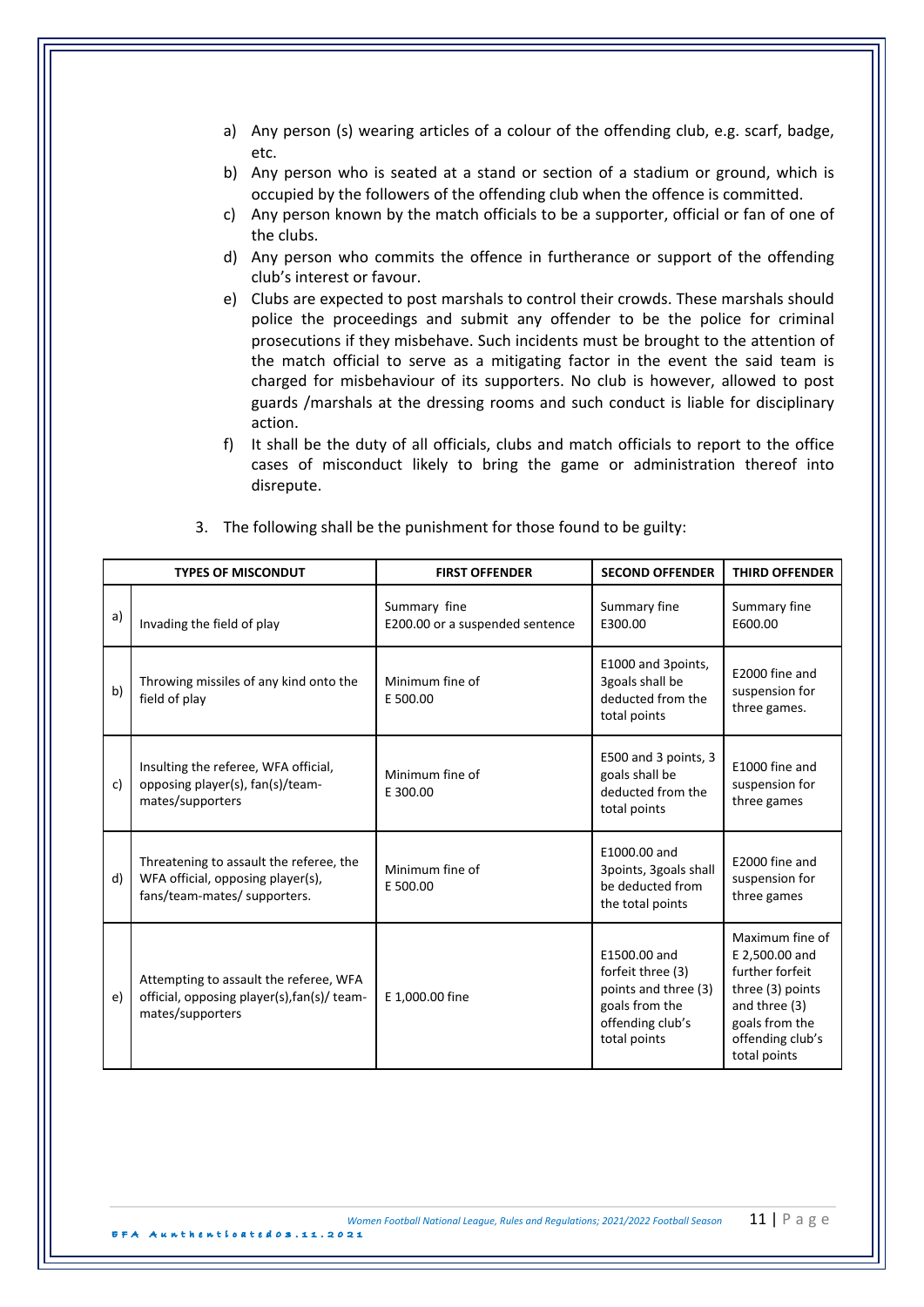- a) Any person (s) wearing articles of a colour of the offending club, e.g. scarf, badge, etc.
- b) Any person who is seated at a stand or section of a stadium or ground, which is occupied by the followers of the offending club when the offence is committed.
- c) Any person known by the match officials to be a supporter, official or fan of one of the clubs.
- d) Any person who commits the offence in furtherance or support of the offending club's interest or favour.
- e) Clubs are expected to post marshals to control their crowds. These marshals should police the proceedings and submit any offender to be the police for criminal prosecutions if they misbehave. Such incidents must be brought to the attention of the match official to serve as a mitigating factor in the event the said team is charged for misbehaviour of its supporters. No club is however, allowed to post guards /marshals at the dressing rooms and such conduct is liable for disciplinary action.
- f) It shall be the duty of all officials, clubs and match officials to report to the office cases of misconduct likely to bring the game or administration thereof into disrepute.

|    | <b>TYPES OF MISCONDUT</b>                                                                                    | <b>FIRST OFFENDER</b>                           | <b>SECOND OFFENDER</b>                                                                                          | <b>THIRD OFFENDER</b>                                                                                                                           |
|----|--------------------------------------------------------------------------------------------------------------|-------------------------------------------------|-----------------------------------------------------------------------------------------------------------------|-------------------------------------------------------------------------------------------------------------------------------------------------|
| a) | Invading the field of play                                                                                   | Summary fine<br>E200.00 or a suspended sentence | Summary fine<br>E300.00                                                                                         | Summary fine<br>E600.00                                                                                                                         |
| b) | Throwing missiles of any kind onto the<br>field of play                                                      | Minimum fine of<br>E 500.00                     | E1000 and 3points,<br>3goals shall be<br>deducted from the<br>total points                                      | E2000 fine and<br>suspension for<br>three games.                                                                                                |
| c) | Insulting the referee, WFA official,<br>opposing player(s), fan(s)/team-<br>mates/supporters                 | Minimum fine of<br>E 300.00                     | E500 and 3 points, 3<br>goals shall be<br>deducted from the<br>total points                                     | E1000 fine and<br>suspension for<br>three games                                                                                                 |
| d) | Threatening to assault the referee, the<br>WFA official, opposing player(s),<br>fans/team-mates/ supporters. | Minimum fine of<br>E 500.00                     | E1000.00 and<br>3points, 3goals shall<br>be deducted from<br>the total points                                   | E2000 fine and<br>suspension for<br>three games                                                                                                 |
| e) | Attempting to assault the referee, WFA<br>official, opposing player(s), fan(s)/ team-<br>mates/supporters    | E 1,000.00 fine                                 | E1500.00 and<br>forfeit three (3)<br>points and three (3)<br>goals from the<br>offending club's<br>total points | Maximum fine of<br>E 2,500.00 and<br>further forfeit<br>three (3) points<br>and three (3)<br>goals from the<br>offending club's<br>total points |

3. The following shall be the punishment for those found to be guilty:

EFA Aunthenticated 0 3 . 1 1 .2021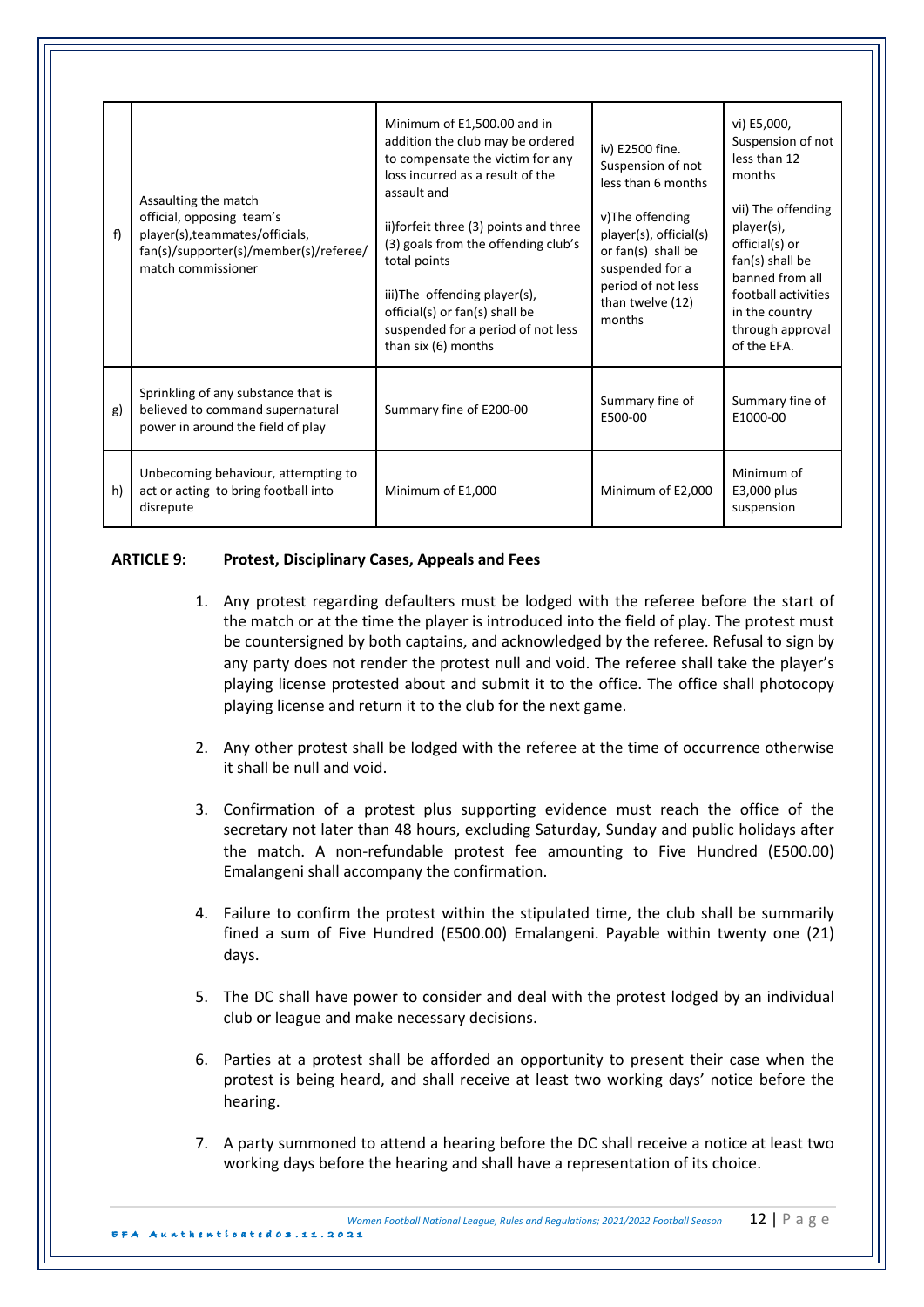| f  | Assaulting the match<br>official, opposing team's<br>player(s), teammates/officials,<br>fan(s)/supporter(s)/member(s)/referee/<br>match commissioner | Minimum of E1,500.00 and in<br>addition the club may be ordered<br>to compensate the victim for any<br>loss incurred as a result of the<br>assault and<br>ii)forfeit three (3) points and three<br>(3) goals from the offending club's<br>total points<br>iii)The offending player(s),<br>official(s) or fan(s) shall be<br>suspended for a period of not less<br>than six (6) months | iv) E2500 fine.<br>Suspension of not<br>less than 6 months<br>v)The offending<br>player(s), official(s)<br>or fan(s) shall be<br>suspended for a<br>period of not less<br>than twelve (12)<br>months | vi) E5,000,<br>Suspension of not<br>less than 12<br>months<br>vii) The offending<br>player(s),<br>official(s) or<br>fan(s) shall be<br>banned from all<br>football activities<br>in the country<br>through approval<br>of the EFA. |
|----|------------------------------------------------------------------------------------------------------------------------------------------------------|---------------------------------------------------------------------------------------------------------------------------------------------------------------------------------------------------------------------------------------------------------------------------------------------------------------------------------------------------------------------------------------|------------------------------------------------------------------------------------------------------------------------------------------------------------------------------------------------------|------------------------------------------------------------------------------------------------------------------------------------------------------------------------------------------------------------------------------------|
| g) | Sprinkling of any substance that is<br>believed to command supernatural<br>power in around the field of play                                         | Summary fine of E200-00                                                                                                                                                                                                                                                                                                                                                               | Summary fine of<br>E500-00                                                                                                                                                                           | Summary fine of<br>E1000-00                                                                                                                                                                                                        |
| h) | Unbecoming behaviour, attempting to<br>act or acting to bring football into<br>disrepute                                                             | Minimum of E1,000                                                                                                                                                                                                                                                                                                                                                                     | Minimum of E2,000                                                                                                                                                                                    | Minimum of<br>E3,000 plus<br>suspension                                                                                                                                                                                            |

### **ARTICLE 9: Protest, Disciplinary Cases, Appeals and Fees**

- 1. Any protest regarding defaulters must be lodged with the referee before the start of the match or at the time the player is introduced into the field of play. The protest must be countersigned by both captains, and acknowledged by the referee. Refusal to sign by any party does not render the protest null and void. The referee shall take the player's playing license protested about and submit it to the office. The office shall photocopy playing license and return it to the club for the next game.
- 2. Any other protest shall be lodged with the referee at the time of occurrence otherwise it shall be null and void.
- 3. Confirmation of a protest plus supporting evidence must reach the office of the secretary not later than 48 hours, excluding Saturday, Sunday and public holidays after the match. A non-refundable protest fee amounting to Five Hundred (E500.00) Emalangeni shall accompany the confirmation.
- 4. Failure to confirm the protest within the stipulated time, the club shall be summarily fined a sum of Five Hundred (E500.00) Emalangeni. Payable within twenty one (21) days.
- 5. The DC shall have power to consider and deal with the protest lodged by an individual club or league and make necessary decisions.
- 6. Parties at a protest shall be afforded an opportunity to present their case when the protest is being heard, and shall receive at least two working days' notice before the hearing.
- 7. A party summoned to attend a hearing before the DC shall receive a notice at least two working days before the hearing and shall have a representation of its choice.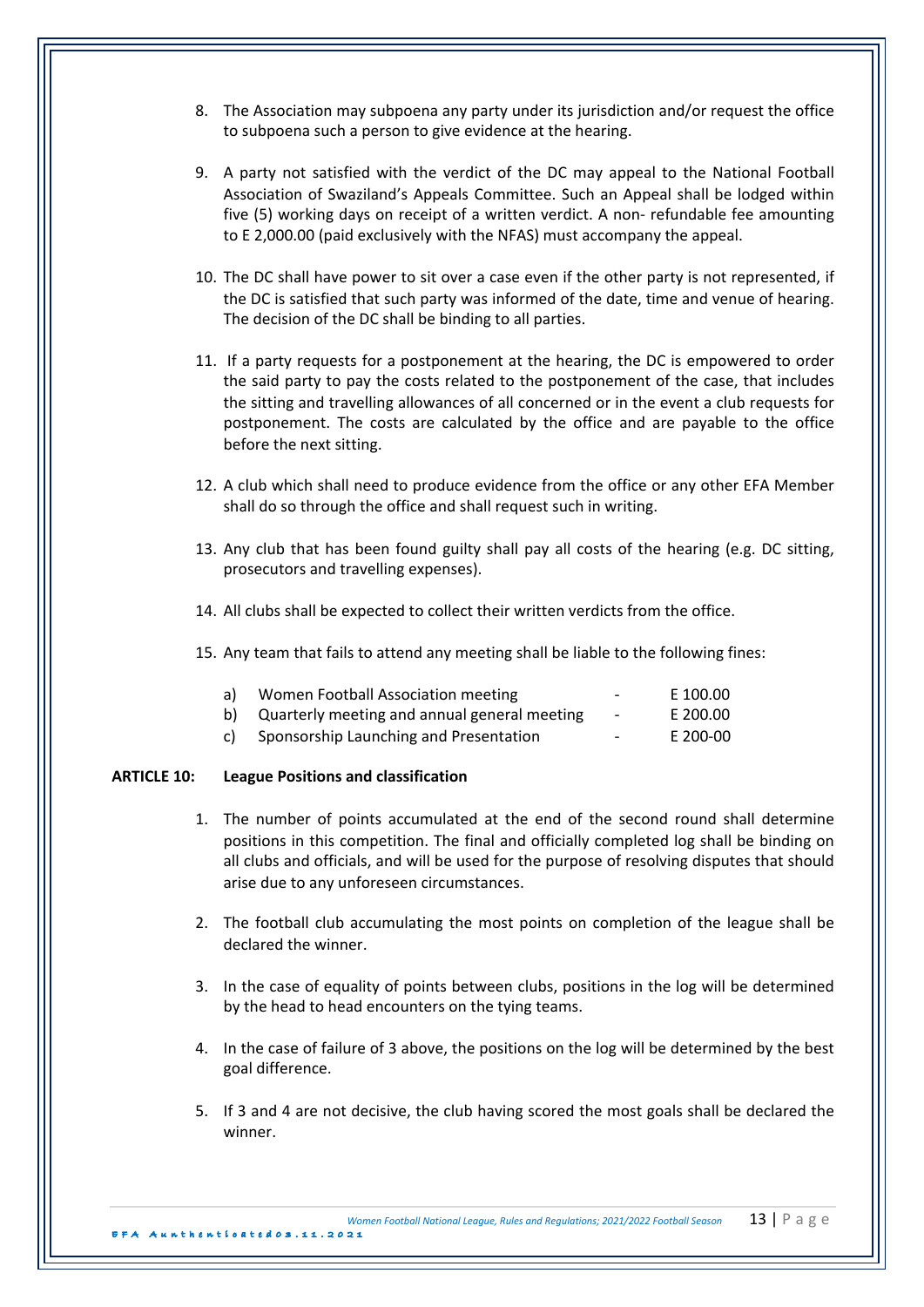- 8. The Association may subpoena any party under its jurisdiction and/or request the office to subpoena such a person to give evidence at the hearing.
- 9. A party not satisfied with the verdict of the DC may appeal to the National Football Association of Swaziland's Appeals Committee. Such an Appeal shall be lodged within five (5) working days on receipt of a written verdict. A non- refundable fee amounting to E 2,000.00 (paid exclusively with the NFAS) must accompany the appeal.
- 10. The DC shall have power to sit over a case even if the other party is not represented, if the DC is satisfied that such party was informed of the date, time and venue of hearing. The decision of the DC shall be binding to all parties.
- 11. If a party requests for a postponement at the hearing, the DC is empowered to order the said party to pay the costs related to the postponement of the case, that includes the sitting and travelling allowances of all concerned or in the event a club requests for postponement. The costs are calculated by the office and are payable to the office before the next sitting.
- 12. A club which shall need to produce evidence from the office or any other EFA Member shall do so through the office and shall request such in writing.
- 13. Any club that has been found guilty shall pay all costs of the hearing (e.g. DC sitting, prosecutors and travelling expenses).
- 14. All clubs shall be expected to collect their written verdicts from the office.
- 15. Any team that fails to attend any meeting shall be liable to the following fines:

| a) | Women Football Association meeting              | $\overline{\phantom{a}}$ | E 100.00 |
|----|-------------------------------------------------|--------------------------|----------|
|    | b) Quarterly meeting and annual general meeting | $\sim$                   | E 200.00 |
|    | c) Sponsorship Launching and Presentation       | $\sim$                   | E 200-00 |

### **ARTICLE 10: League Positions and classification**

- 1. The number of points accumulated at the end of the second round shall determine positions in this competition. The final and officially completed log shall be binding on all clubs and officials, and will be used for the purpose of resolving disputes that should arise due to any unforeseen circumstances.
- 2. The football club accumulating the most points on completion of the league shall be declared the winner.
- 3. In the case of equality of points between clubs, positions in the log will be determined by the head to head encounters on the tying teams.
- 4. In the case of failure of 3 above, the positions on the log will be determined by the best goal difference.
- 5. If 3 and 4 are not decisive, the club having scored the most goals shall be declared the winner.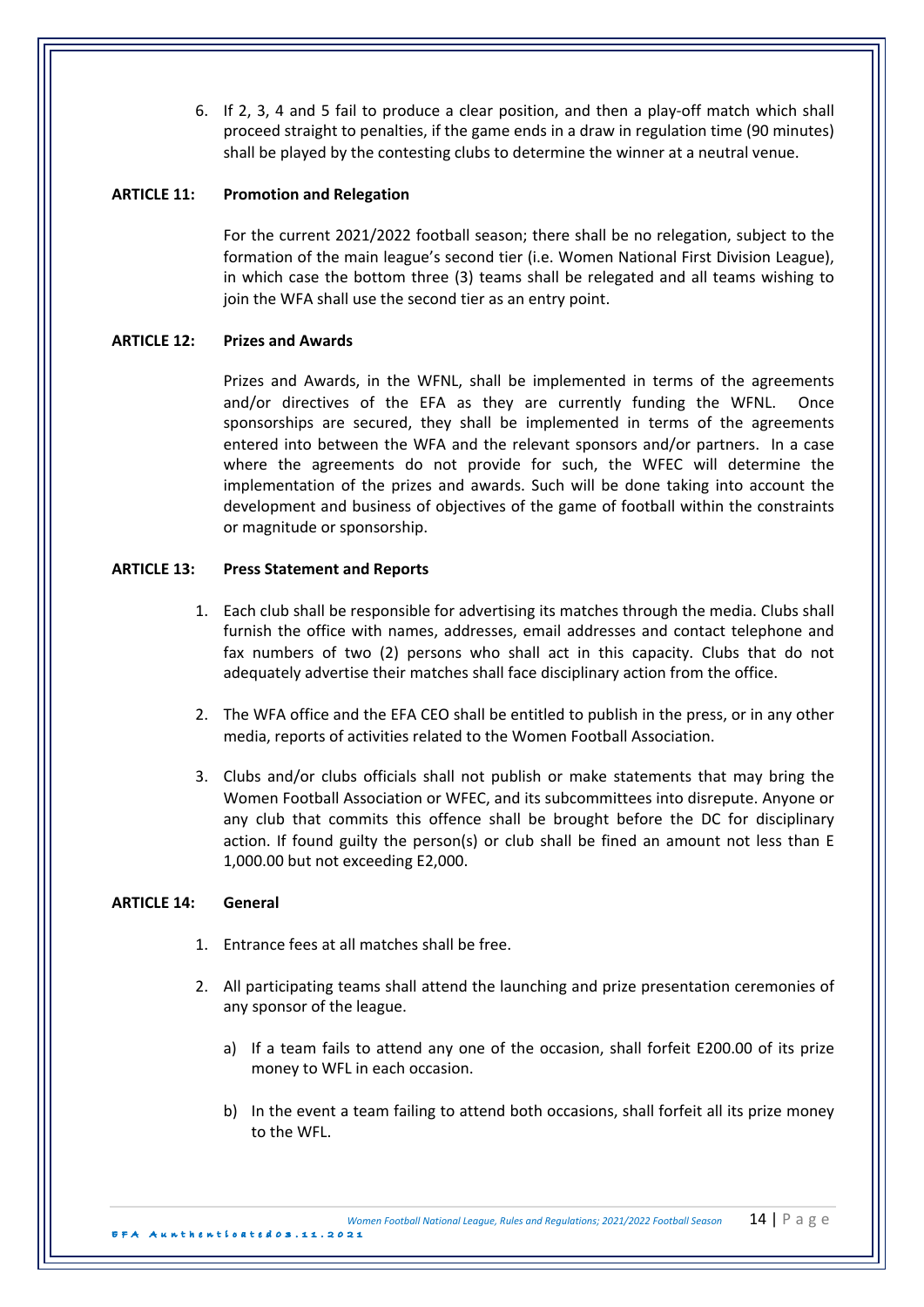6. If 2, 3, 4 and 5 fail to produce a clear position, and then a play-off match which shall proceed straight to penalties, if the game ends in a draw in regulation time (90 minutes) shall be played by the contesting clubs to determine the winner at a neutral venue.

# **ARTICLE 11:** Promotion and Relegation

For the current 2021/2022 football season; there shall be no relegation, subject to the formation of the main league's second tier (i.e. Women National First Division League), in which case the bottom three (3) teams shall be relegated and all teams wishing to join the WFA shall use the second tier as an entry point.

# **ARTICLE 12: Prizes and Awards**

Prizes and Awards, in the WFNL, shall be implemented in terms of the agreements and/or directives of the EFA as they are currently funding the WFNL. Once sponsorships are secured, they shall be implemented in terms of the agreements entered into between the WFA and the relevant sponsors and/or partners. In a case where the agreements do not provide for such, the WFEC will determine the implementation of the prizes and awards. Such will be done taking into account the development and business of objectives of the game of football within the constraints or magnitude or sponsorship.

# **ARTICLE 13: Press Statement and Reports**

- 1. Each club shall be responsible for advertising its matches through the media. Clubs shall furnish the office with names, addresses, email addresses and contact telephone and fax numbers of two (2) persons who shall act in this capacity. Clubs that do not adequately advertise their matches shall face disciplinary action from the office.
- 2. The WFA office and the EFA CEO shall be entitled to publish in the press, or in any other media, reports of activities related to the Women Football Association.
- 3. Clubs and/or clubs officials shall not publish or make statements that may bring the Women Football Association or WFEC, and its subcommittees into disrepute. Anyone or any club that commits this offence shall be brought before the DC for disciplinary action. If found guilty the person(s) or club shall be fined an amount not less than E 1,000.00 but not exceeding E2,000.

## **ARTICLE 14: General**

- 1. Entrance fees at all matches shall be free.
- 2. All participating teams shall attend the launching and prize presentation ceremonies of any sponsor of the league.
	- a) If a team fails to attend any one of the occasion, shall forfeit E200.00 of its prize money to WFL in each occasion.
	- b) In the event a team failing to attend both occasions, shall forfeit all its prize money to the WFL.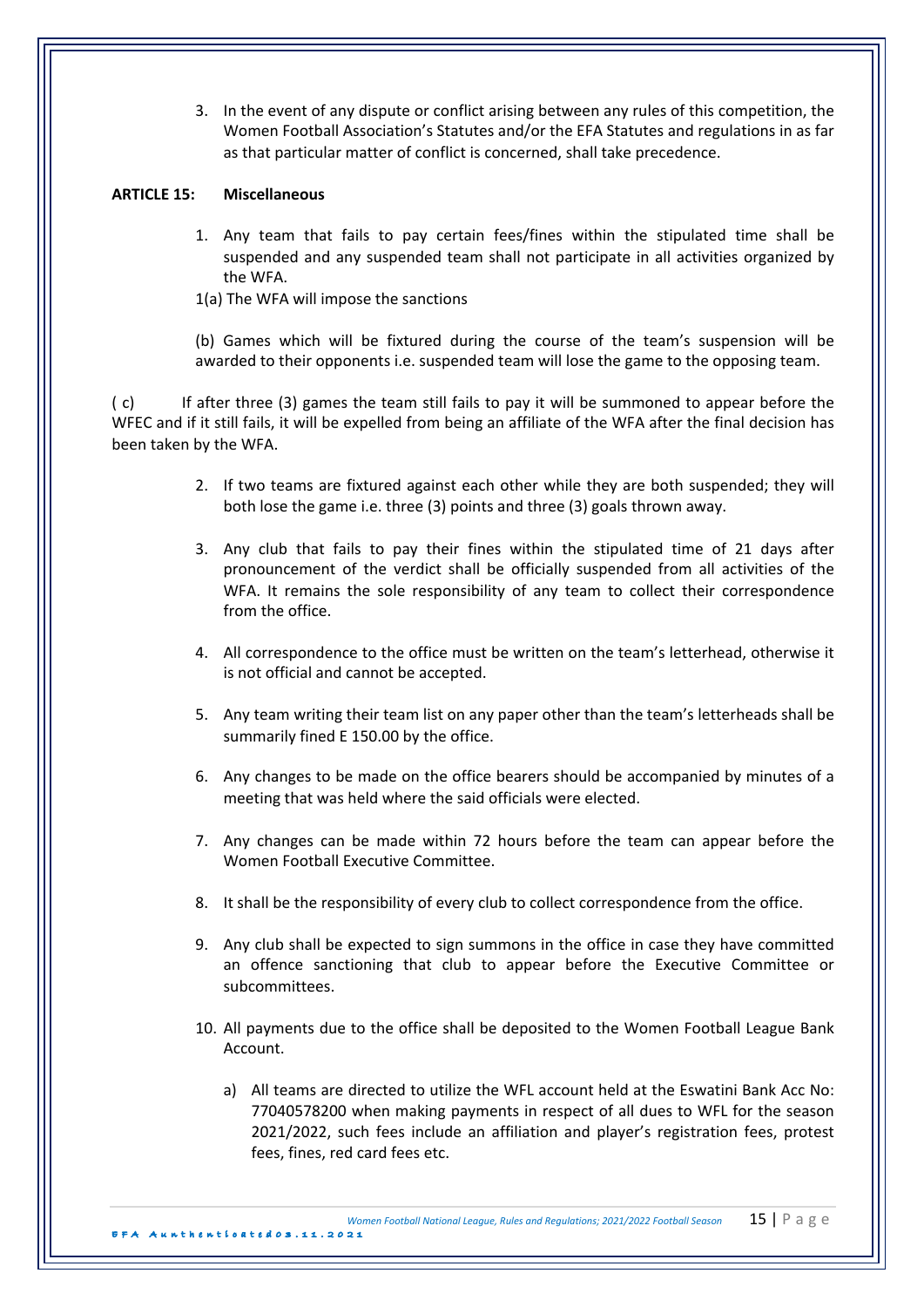3. In the event of any dispute or conflict arising between any rules of this competition, the Women Football Association's Statutes and/or the EFA Statutes and regulations in as far as that particular matter of conflict is concerned, shall take precedence.

# **ARTICLE 15: Miscellaneous**

- 1. Any team that fails to pay certain fees/fines within the stipulated time shall be suspended and any suspended team shall not participate in all activities organized by the WFA.
- 1(a) The WFA will impose the sanctions

(b) Games which will be fixtured during the course of the team's suspension will be awarded to their opponents i.e. suspended team will lose the game to the opposing team.

(c) If after three (3) games the team still fails to pay it will be summoned to appear before the WFEC and if it still fails, it will be expelled from being an affiliate of the WFA after the final decision has been taken by the WFA.

- 2. If two teams are fixtured against each other while they are both suspended; they will both lose the game i.e. three (3) points and three (3) goals thrown away.
- 3. Any club that fails to pay their fines within the stipulated time of 21 days after pronouncement of the verdict shall be officially suspended from all activities of the WFA. It remains the sole responsibility of any team to collect their correspondence from the office.
- 4. All correspondence to the office must be written on the team's letterhead, otherwise it is not official and cannot be accepted.
- 5. Any team writing their team list on any paper other than the team's letterheads shall be summarily fined E 150.00 by the office.
- 6. Any changes to be made on the office bearers should be accompanied by minutes of a meeting that was held where the said officials were elected.
- 7. Any changes can be made within 72 hours before the team can appear before the Women Football Executive Committee
- 8. It shall be the responsibility of every club to collect correspondence from the office.
- 9. Any club shall be expected to sign summons in the office in case they have committed an offence sanctioning that club to appear before the Executive Committee or subcommittees.
- 10. All payments due to the office shall be deposited to the Women Football League Bank Account.
	- a) All teams are directed to utilize the WFL account held at the Eswatini Bank Acc No: 77040578200 when making payments in respect of all dues to WFL for the season 2021/2022, such fees include an affiliation and player's registration fees, protest fees, fines, red card fees etc.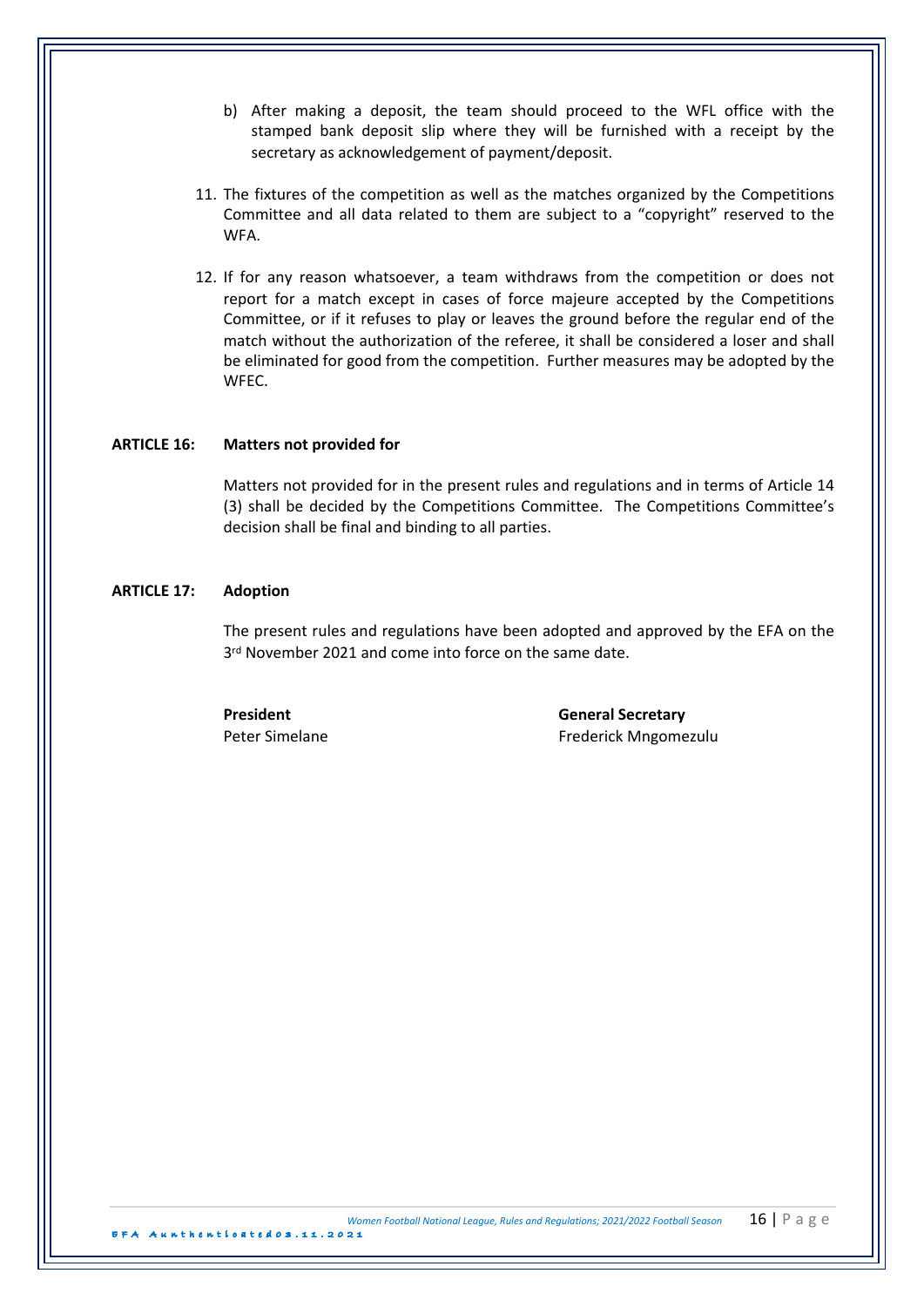- b) After making a deposit, the team should proceed to the WFL office with the stamped bank deposit slip where they will be furnished with a receipt by the secretary as acknowledgement of payment/deposit.
- 11. The fixtures of the competition as well as the matches organized by the Competitions Committee and all data related to them are subject to a "copyright" reserved to the WFA.
- 12. If for any reason whatsoever, a team withdraws from the competition or does not report for a match except in cases of force majeure accepted by the Competitions Committee, or if it refuses to play or leaves the ground before the regular end of the match without the authorization of the referee, it shall be considered a loser and shall be eliminated for good from the competition. Further measures may be adopted by the WFEC.

### **ARTICLE 16:** Matters not provided for

Matters not provided for in the present rules and regulations and in terms of Article 14 (3) shall be decided by the Competitions Committee. The Competitions Committee's decision shall be final and binding to all parties.

## **ARTICLE 17: Adoption**

The present rules and regulations have been adopted and approved by the EFA on the 3<sup>rd</sup> November 2021 and come into force on the same date.

**President General Secretary** Peter Simelane **Frederick** Mngomezulu

EFA Aunthenticated 0 3 . 1 1 .2021